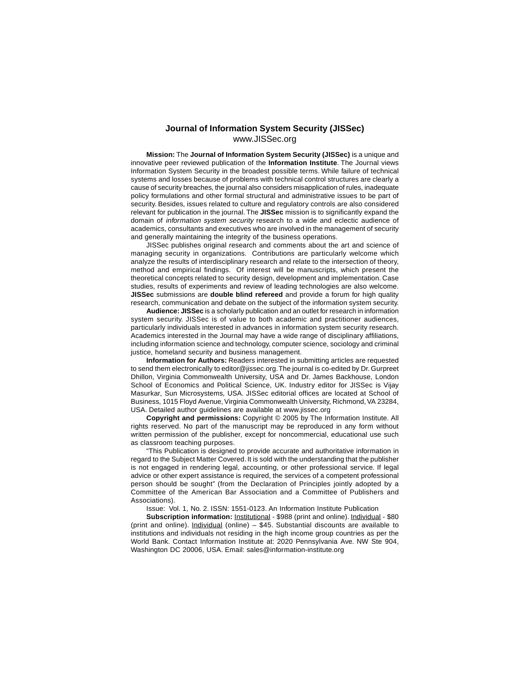#### **Journal of Information System Security (JISSec)** www.JISSec.org

**Mission:** The **Journal of Information System Security (JISSec)** is a unique and innovative peer reviewed publication of the **Information Institute**. The Journal views Information System Security in the broadest possible terms. While failure of technical systems and losses because of problems with technical control structures are clearly a cause of security breaches, the journal also considers misapplication of rules, inadequate policy formulations and other formal structural and administrative issues to be part of security. Besides, issues related to culture and regulatory controls are also considered relevant for publication in the journal. The **JISSec** mission is to significantly expand the domain of information system security research to a wide and eclectic audience of academics, consultants and executives who are involved in the management of security and generally maintaining the integrity of the business operations.

JISSec publishes original research and comments about the art and science of managing security in organizations. Contributions are particularly welcome which analyze the results of interdisciplinary research and relate to the intersection of theory, method and empirical findings. Of interest will be manuscripts, which present the theoretical concepts related to security design, development and implementation. Case studies, results of experiments and review of leading technologies are also welcome. **JISSec** submissions are **double blind refereed** and provide a forum for high quality research, communication and debate on the subject of the information system security.

**Audience: JISSec** is a scholarly publication and an outlet for research in information system security. JISSec is of value to both academic and practitioner audiences, particularly individuals interested in advances in information system security research. Academics interested in the Journal may have a wide range of disciplinary affiliations, including information science and technology, computer science, sociology and criminal justice, homeland security and business management.

**Information for Authors:** Readers interested in submitting articles are requested to send them electronically to editor@jissec.org. The journal is co-edited by Dr. Gurpreet Dhillon, Virginia Commonwealth University, USA and Dr. James Backhouse, London School of Economics and Political Science, UK. Industry editor for JISSec is Vijay Masurkar, Sun Microsystems, USA. JISSec editorial offices are located at School of Business, 1015 Floyd Avenue, Virginia Commonwealth University, Richmond, VA 23284, USA. Detailed author guidelines are available at www.jissec.org

**Copyright and permissions:** Copyright © 2005 by The Information Institute. All rights reserved. No part of the manuscript may be reproduced in any form without written permission of the publisher, except for noncommercial, educational use such as classroom teaching purposes.

"This Publication is designed to provide accurate and authoritative information in regard to the Subject Matter Covered. It is sold with the understanding that the publisher is not engaged in rendering legal, accounting, or other professional service. If legal advice or other expert assistance is required, the services of a competent professional person should be sought" (from the Declaration of Principles jointly adopted by a Committee of the American Bar Association and a Committee of Publishers and Associations).

Issue: Vol. 1, No. 2. ISSN: 1551-0123. An Information Institute Publication

**Subscription information:** Institutional - \$988 (print and online). Individual - \$80 (print and online). Individual (online) – \$45. Substantial discounts are available to institutions and individuals not residing in the high income group countries as per the World Bank. Contact Information Institute at: 2020 Pennsylvania Ave. NW Ste 904, Washington DC 20006, USA. Email: sales@information-institute.org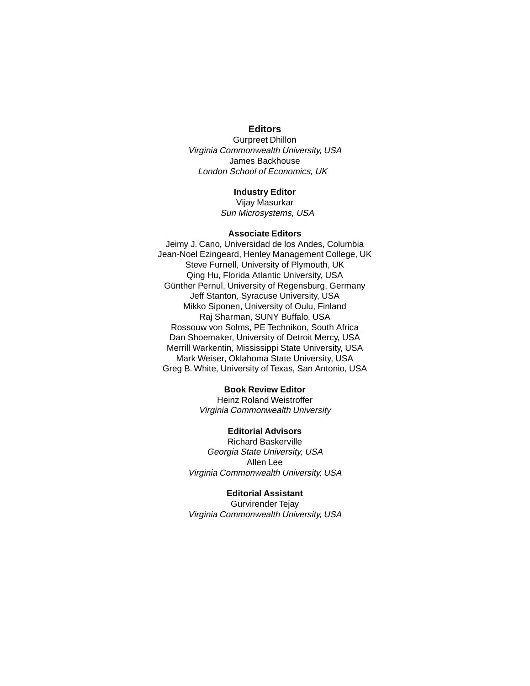# **Editors**

Gurpreet Dhillon Virginia Commonwealth University, USA James Backhouse London School of Economics, UK

### **Industry Editor**

Vijay Masurkar Sun Microsystems, USA

#### **Associate Editors**

Jeimy J. Cano, Universidad de los Andes, Columbia Jean-Noel Ezingeard, Henley Management College, UK Steve Furnell, University of Plymouth, UK Qing Hu, Florida Atlantic University, USA Günther Pernul, University of Regensburg, Germany Jeff Stanton, Syracuse University, USA Mikko Siponen, University of Oulu, Finland Raj Sharman, SUNY Buffalo, USA Rossouw von Solms, PE Technikon, South Africa Dan Shoemaker, University of Detroit Mercy, USA Merrill Warkentin, Mississippi State University, USA Mark Weiser, Oklahoma State University, USA Greg B. White, University of Texas, San Antonio, USA

#### **Book Review Editor**

Heinz Roland Weistroffer Virginia Commonwealth University

### **Editorial Advisors**

Richard Baskerville Georgia State University, USA Allen Lee Virginia Commonwealth University, USA

#### **Editorial Assistant**

Gurvirender Tejay Virginia Commonwealth University, USA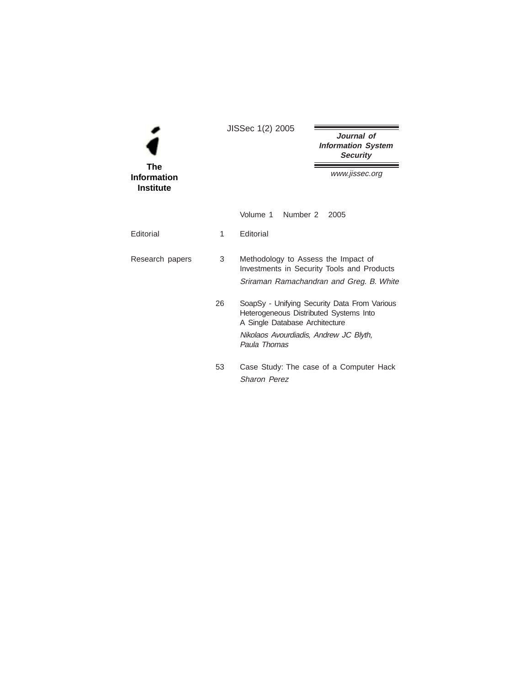|                                                      | JISSec 1(2) 2005 |                                                                                                                                    |                                                                                        |
|------------------------------------------------------|------------------|------------------------------------------------------------------------------------------------------------------------------------|----------------------------------------------------------------------------------------|
|                                                      |                  |                                                                                                                                    | Journal of<br><b>Information System</b><br><b>Security</b>                             |
| <b>The</b><br><b>Information</b><br><b>Institute</b> |                  |                                                                                                                                    | www.jissec.org                                                                         |
|                                                      |                  | Volume 1 Number 2                                                                                                                  | 2005                                                                                   |
| Editorial                                            | 1                | Editorial                                                                                                                          |                                                                                        |
| Research papers                                      | 3                | Methodology to Assess the Impact of                                                                                                | Investments in Security Tools and Products<br>Sriraman Ramachandran and Greg. B. White |
|                                                      | 26               | Heterogeneous Distributed Systems Into<br>A Single Database Architecture<br>Nikolaos Avourdiadis, Andrew JC Blyth,<br>Paula Thomas | SoapSy - Unifying Security Data From Various                                           |
|                                                      | 53               | <b>Sharon Perez</b>                                                                                                                | Case Study: The case of a Computer Hack                                                |